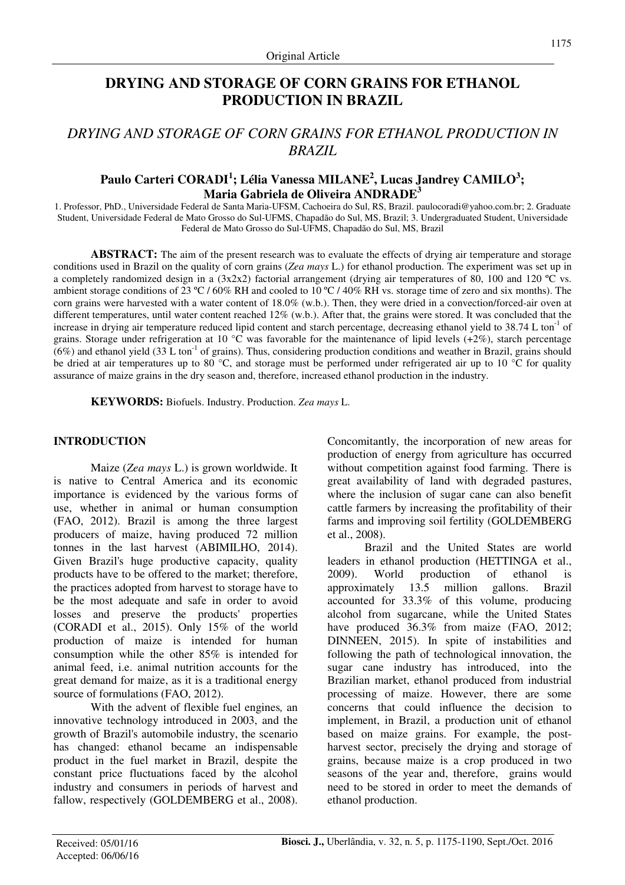# **DRYING AND STORAGE OF CORN GRAINS FOR ETHANOL PRODUCTION IN BRAZIL**

# *DRYING AND STORAGE OF CORN GRAINS FOR ETHANOL PRODUCTION IN BRAZIL*

# **Paulo Carteri CORADI<sup>1</sup> ; Lélia Vanessa MILANE<sup>2</sup> , Lucas Jandrey CAMILO<sup>3</sup> ; Maria Gabriela de Oliveira ANDRADE<sup>3</sup>**

1. Professor, PhD., Universidade Federal de Santa Maria-UFSM, Cachoeira do Sul, RS, Brazil. paulocoradi@yahoo.com.br; 2. Graduate Student, Universidade Federal de Mato Grosso do Sul-UFMS, Chapadão do Sul, MS, Brazil; 3. Undergraduated Student, Universidade Federal de Mato Grosso do Sul-UFMS, Chapadão do Sul, MS, Brazil

**ABSTRACT:** The aim of the present research was to evaluate the effects of drying air temperature and storage conditions used in Brazil on the quality of corn grains (*Zea mays* L.) for ethanol production. The experiment was set up in a completely randomized design in a  $(3x2x2)$  factorial arrangement (drying air temperatures of 80, 100 and 120 °C vs. ambient storage conditions of 23 °C / 60% RH and cooled to 10 °C / 40% RH vs. storage time of zero and six months). The corn grains were harvested with a water content of 18.0% (w.b.). Then, they were dried in a convection/forced-air oven at different temperatures, until water content reached 12% (w.b.). After that, the grains were stored. It was concluded that the increase in drying air temperature reduced lipid content and starch percentage, decreasing ethanol yield to  $38.74$  L ton<sup>-1</sup> of grains. Storage under refrigeration at 10 °C was favorable for the maintenance of lipid levels  $(+2\%)$ , starch percentage  $(6%)$  and ethanol yield  $(33 \text{ L ton}^{-1}$  of grains). Thus, considering production conditions and weather in Brazil, grains should be dried at air temperatures up to 80 °C, and storage must be performed under refrigerated air up to 10 °C for quality assurance of maize grains in the dry season and, therefore, increased ethanol production in the industry.

**KEYWORDS:** Biofuels. Industry. Production. *Zea mays* L.

# **INTRODUCTION**

Maize (*Zea mays* L.) is grown worldwide. It is native to Central America and its economic importance is evidenced by the various forms of use, whether in animal or human consumption (FAO, 2012). Brazil is among the three largest producers of maize, having produced 72 million tonnes in the last harvest (ABIMILHO, 2014). Given Brazil's huge productive capacity, quality products have to be offered to the market; therefore, the practices adopted from harvest to storage have to be the most adequate and safe in order to avoid losses and preserve the products' properties (CORADI et al., 2015). Only 15% of the world production of maize is intended for human consumption while the other 85% is intended for animal feed, i.e. animal nutrition accounts for the great demand for maize, as it is a traditional energy source of formulations (FAO, 2012).

With the advent of flexible fuel engines*,* an innovative technology introduced in 2003, and the growth of Brazil's automobile industry, the scenario has changed: ethanol became an indispensable product in the fuel market in Brazil, despite the constant price fluctuations faced by the alcohol industry and consumers in periods of harvest and fallow, respectively (GOLDEMBERG et al., 2008). Concomitantly, the incorporation of new areas for production of energy from agriculture has occurred without competition against food farming. There is great availability of land with degraded pastures, where the inclusion of sugar cane can also benefit cattle farmers by increasing the profitability of their farms and improving soil fertility (GOLDEMBERG et al., 2008).

Brazil and the United States are world leaders in ethanol production (HETTINGA et al., 2009). World production of ethanol is approximately 13.5 million gallons. Brazil accounted for 33.3% of this volume, producing alcohol from sugarcane, while the United States have produced 36.3% from maize (FAO, 2012; DINNEEN, 2015). In spite of instabilities and following the path of technological innovation, the sugar cane industry has introduced, into the Brazilian market, ethanol produced from industrial processing of maize. However, there are some concerns that could influence the decision to implement, in Brazil, a production unit of ethanol based on maize grains. For example, the postharvest sector, precisely the drying and storage of grains, because maize is a crop produced in two seasons of the year and, therefore, grains would need to be stored in order to meet the demands of ethanol production.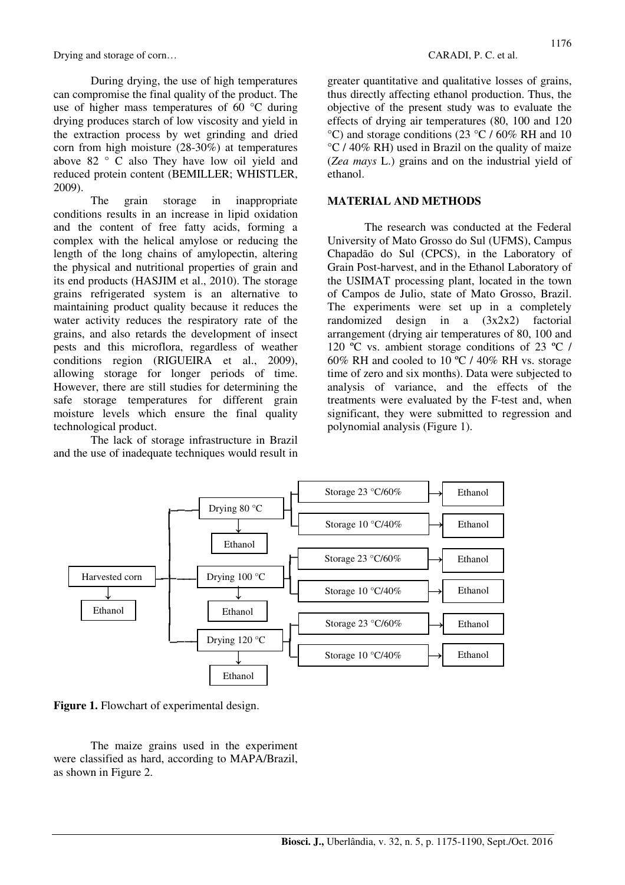During drying, the use of high temperatures can compromise the final quality of the product. The use of higher mass temperatures of 60 °C during drying produces starch of low viscosity and yield in the extraction process by wet grinding and dried corn from high moisture (28-30%) at temperatures above 82 ° C also They have low oil yield and reduced protein content (BEMILLER; WHISTLER, 2009).

The grain storage in inappropriate conditions results in an increase in lipid oxidation and the content of free fatty acids, forming a complex with the helical amylose or reducing the length of the long chains of amylopectin, altering the physical and nutritional properties of grain and its end products (HASJIM et al., 2010). The storage grains refrigerated system is an alternative to maintaining product quality because it reduces the water activity reduces the respiratory rate of the grains, and also retards the development of insect pests and this microflora, regardless of weather conditions region (RIGUEIRA et al., 2009), allowing storage for longer periods of time. However, there are still studies for determining the safe storage temperatures for different grain moisture levels which ensure the final quality technological product.

The lack of storage infrastructure in Brazil and the use of inadequate techniques would result in greater quantitative and qualitative losses of grains, thus directly affecting ethanol production. Thus, the objective of the present study was to evaluate the effects of drying air temperatures (80, 100 and 120 °C) and storage conditions (23 °C / 60% RH and 10 °C / 40% RH) used in Brazil on the quality of maize (*Zea mays* L.) grains and on the industrial yield of ethanol.

# **MATERIAL AND METHODS**

The research was conducted at the Federal University of Mato Grosso do Sul (UFMS), Campus Chapadão do Sul (CPCS), in the Laboratory of Grain Post-harvest, and in the Ethanol Laboratory of the USIMAT processing plant, located in the town of Campos de Julio, state of Mato Grosso, Brazil. The experiments were set up in a completely randomized design in a (3x2x2) factorial arrangement (drying air temperatures of 80, 100 and 120 ºC vs. ambient storage conditions of 23 ºC / 60% RH and cooled to 10 ºC / 40% RH vs. storage time of zero and six months). Data were subjected to analysis of variance, and the effects of the treatments were evaluated by the F-test and, when significant, they were submitted to regression and polynomial analysis (Figure 1).



Figure 1. Flowchart of experimental design.

The maize grains used in the experiment were classified as hard, according to MAPA/Brazil, as shown in Figure 2.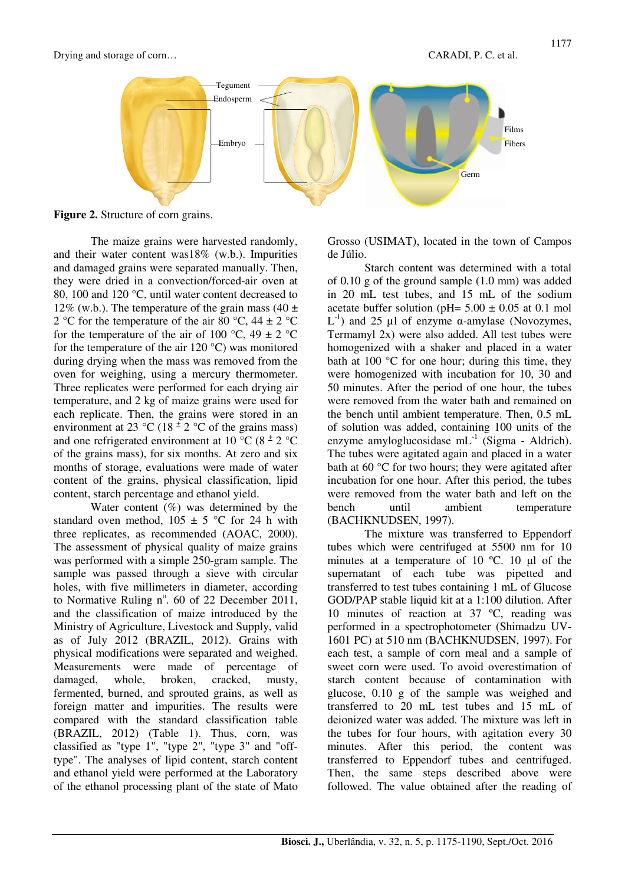



**Figure 2.** Structure of corn grains.

The maize grains were harvested randomly, and their water content was18% (w.b.). Impurities and damaged grains were separated manually. Then, they were dried in a convection/forced-air oven at 80, 100 and 120 °C, until water content decreased to 12% (w.b.). The temperature of the grain mass (40  $\pm$ 2 °C for the temperature of the air 80 °C, 44  $\pm$  2 °C for the temperature of the air of 100 °C, 49  $\pm$  2 °C for the temperature of the air  $120^{\circ}$ C) was monitored during drying when the mass was removed from the oven for weighing, using a mercury thermometer. Three replicates were performed for each drying air temperature, and 2 kg of maize grains were used for each replicate. Then, the grains were stored in an environment at 23 °C (18<sup> $\pm$ </sup> 2 °C of the grains mass) and one refrigerated environment at 10  $\degree$ C (8  $\pm$  2  $\degree$ C of the grains mass), for six months. At zero and six months of storage, evaluations were made of water content of the grains, physical classification, lipid content, starch percentage and ethanol yield.

Water content  $(\%)$  was determined by the standard oven method,  $105 \pm 5$  °C for 24 h with three replicates, as recommended (AOAC, 2000). The assessment of physical quality of maize grains was performed with a simple 250-gram sample. The sample was passed through a sieve with circular holes, with five millimeters in diameter, according to Normative Ruling  $n^{\circ}$ . 60 of 22 December 2011, and the classification of maize introduced by the Ministry of Agriculture, Livestock and Supply, valid as of July 2012 (BRAZIL, 2012). Grains with physical modifications were separated and weighed. Measurements were made of percentage of damaged, whole, broken, cracked, musty, fermented, burned, and sprouted grains, as well as foreign matter and impurities. The results were compared with the standard classification table (BRAZIL, 2012) (Table 1). Thus, corn, was classified as "type 1", "type 2", "type 3" and "offtype". The analyses of lipid content, starch content and ethanol yield were performed at the Laboratory of the ethanol processing plant of the state of Mato

Grosso (USIMAT), located in the town of Campos de Júlio.

Starch content was determined with a total of 0.10 g of the ground sample (1.0 mm) was added in 20 mL test tubes, and 15 mL of the sodium acetate buffer solution (pH=  $5.00 \pm 0.05$  at 0.1 mol L<sup>-1</sup>) and 25 μl of enzyme α-amylase (Novozymes, Termamyl 2x) were also added. All test tubes were homogenized with a shaker and placed in a water bath at 100 °C for one hour; during this time, they were homogenized with incubation for 10, 30 and 50 minutes. After the period of one hour, the tubes were removed from the water bath and remained on the bench until ambient temperature. Then, 0.5 mL of solution was added, containing 100 units of the enzyme amyloglucosidase  $mL^{-1}$  (Sigma - Aldrich). The tubes were agitated again and placed in a water bath at 60 °C for two hours; they were agitated after incubation for one hour. After this period, the tubes were removed from the water bath and left on the bench until ambient temperature (BACHKNUDSEN, 1997).

The mixture was transferred to Eppendorf tubes which were centrifuged at 5500 nm for 10 minutes at a temperature of 10 ºC. 10 µl of the supernatant of each tube was pipetted and transferred to test tubes containing 1 mL of Glucose GOD/PAP stable liquid kit at a 1:100 dilution. After 10 minutes of reaction at 37 ºC, reading was performed in a spectrophotometer (Shimadzu UV-1601 PC) at 510 nm (BACHKNUDSEN, 1997). For each test, a sample of corn meal and a sample of sweet corn were used. To avoid overestimation of starch content because of contamination with glucose, 0.10 g of the sample was weighed and transferred to 20 mL test tubes and 15 mL of deionized water was added. The mixture was left in the tubes for four hours, with agitation every 30 minutes. After this period, the content was transferred to Eppendorf tubes and centrifuged. Then, the same steps described above were followed. The value obtained after the reading of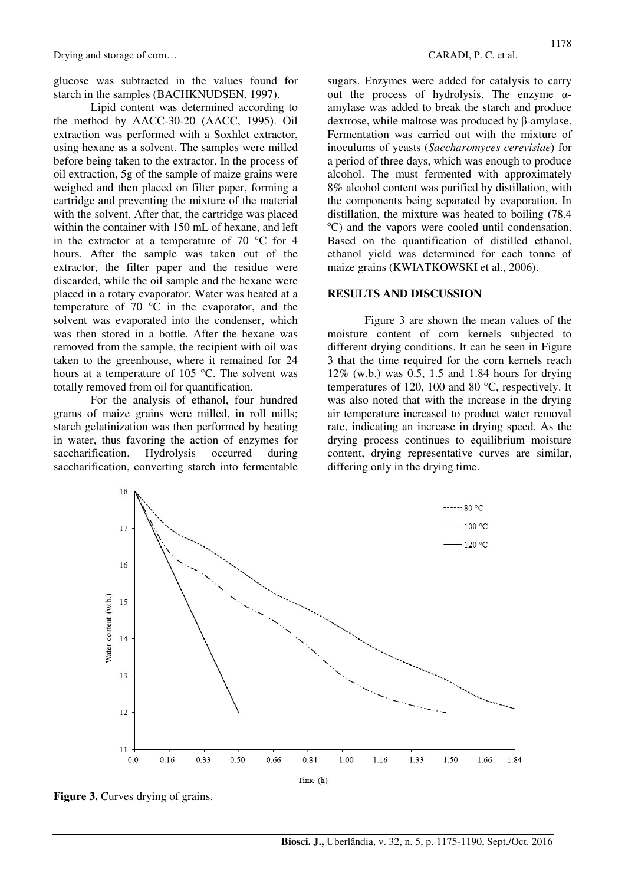glucose was subtracted in the values found for starch in the samples (BACHKNUDSEN, 1997).

Lipid content was determined according to the method by AACC-30-20 (AACC, 1995). Oil extraction was performed with a Soxhlet extractor, using hexane as a solvent. The samples were milled before being taken to the extractor. In the process of oil extraction, 5g of the sample of maize grains were weighed and then placed on filter paper, forming a cartridge and preventing the mixture of the material with the solvent. After that, the cartridge was placed within the container with 150 mL of hexane, and left in the extractor at a temperature of 70 °C for 4 hours. After the sample was taken out of the extractor, the filter paper and the residue were discarded, while the oil sample and the hexane were placed in a rotary evaporator. Water was heated at a temperature of 70 °C in the evaporator, and the solvent was evaporated into the condenser, which was then stored in a bottle. After the hexane was removed from the sample, the recipient with oil was taken to the greenhouse, where it remained for 24 hours at a temperature of 105 °C. The solvent was totally removed from oil for quantification.

For the analysis of ethanol, four hundred grams of maize grains were milled, in roll mills; starch gelatinization was then performed by heating in water, thus favoring the action of enzymes for saccharification. Hydrolysis occurred during saccharification, converting starch into fermentable

sugars. Enzymes were added for catalysis to carry out the process of hydrolysis. The enzyme αamylase was added to break the starch and produce dextrose, while maltose was produced by β-amylase. Fermentation was carried out with the mixture of inoculums of yeasts (*Saccharomyces cerevisiae*) for a period of three days, which was enough to produce alcohol. The must fermented with approximately 8% alcohol content was purified by distillation, with the components being separated by evaporation. In distillation, the mixture was heated to boiling (78.4 ºC) and the vapors were cooled until condensation. Based on the quantification of distilled ethanol, ethanol yield was determined for each tonne of maize grains (KWIATKOWSKI et al., 2006).

## **RESULTS AND DISCUSSION**

Figure 3 are shown the mean values of the moisture content of corn kernels subjected to different drying conditions. It can be seen in Figure 3 that the time required for the corn kernels reach 12% (w.b.) was 0.5, 1.5 and 1.84 hours for drying temperatures of 120, 100 and 80 °C, respectively. It was also noted that with the increase in the drying air temperature increased to product water removal rate, indicating an increase in drying speed. As the drying process continues to equilibrium moisture content, drying representative curves are similar, differing only in the drying time.



**Figure 3.** Curves drying of grains.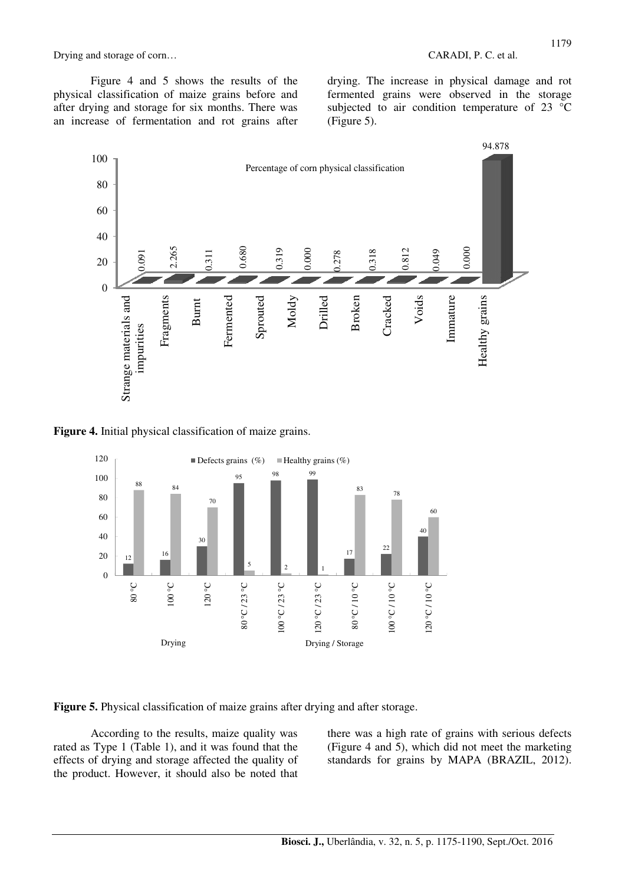Figure 4 and 5 shows the results of the physical classification of maize grains before and after drying and storage for six months. There was an increase of fermentation and rot grains after

drying. The increase in physical damage and rot fermented grains were observed in the storage subjected to air condition temperature of 23 °C (Figure 5).



**Figure 4.** Initial physical classification of maize grains.



**Figure 5.** Physical classification of maize grains after drying and after storage.

According to the results, maize quality was rated as Type 1 (Table 1), and it was found that the effects of drying and storage affected the quality of the product. However, it should also be noted that there was a high rate of grains with serious defects (Figure 4 and 5), which did not meet the marketing standards for grains by MAPA (BRAZIL, 2012).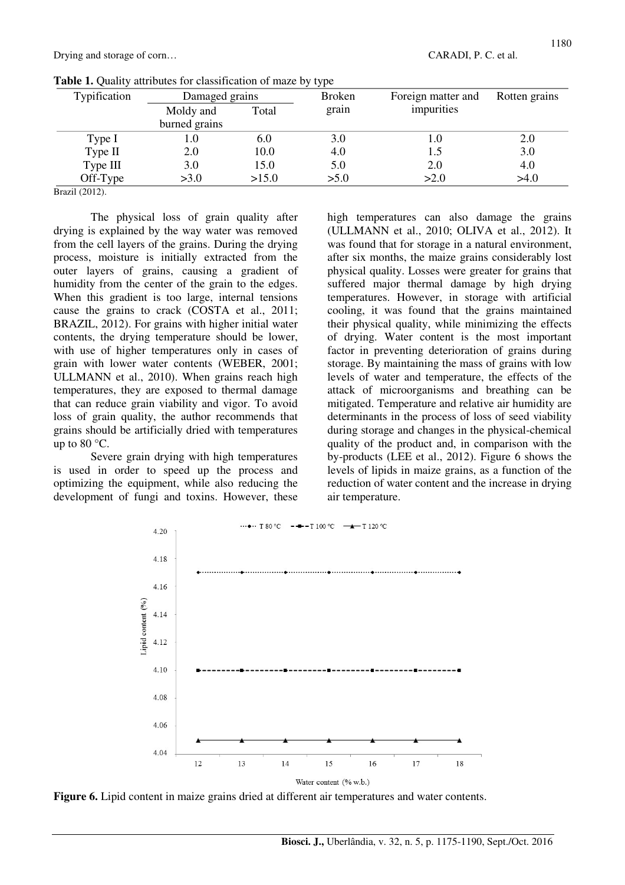| Typification | Damaged grains |                | <b>Broken</b> | Foreign matter and | Rotten grains |  |
|--------------|----------------|----------------|---------------|--------------------|---------------|--|
|              | Moldy and      | grain<br>Total |               | impurities         |               |  |
|              | burned grains  |                |               |                    |               |  |
| Type I       | L.U            | 6.0            | 3.0           |                    | 2.0           |  |
| Type II      | 2.0            | 10.0           | 4.0           |                    | 3.0           |  |
| Type III     | 3.0            | 15.0           | 5.0           | 2.0                | 4.0           |  |
| Off-Type     | >3.0           | >15.0          | >5.0          | >2.0               | >4.0          |  |

|  |  |  |  | Table 1. Quality attributes for classification of maze by type |  |  |  |
|--|--|--|--|----------------------------------------------------------------|--|--|--|
|--|--|--|--|----------------------------------------------------------------|--|--|--|

Brazil (2012).

The physical loss of grain quality after drying is explained by the way water was removed from the cell layers of the grains. During the drying process, moisture is initially extracted from the outer layers of grains, causing a gradient of humidity from the center of the grain to the edges. When this gradient is too large, internal tensions cause the grains to crack (COSTA et al., 2011; BRAZIL, 2012). For grains with higher initial water contents, the drying temperature should be lower, with use of higher temperatures only in cases of grain with lower water contents (WEBER, 2001; ULLMANN et al., 2010). When grains reach high temperatures, they are exposed to thermal damage that can reduce grain viability and vigor. To avoid loss of grain quality, the author recommends that grains should be artificially dried with temperatures up to  $80^{\circ}$ C.

Severe grain drying with high temperatures is used in order to speed up the process and optimizing the equipment, while also reducing the development of fungi and toxins. However, these

high temperatures can also damage the grains (ULLMANN et al., 2010; OLIVA et al., 2012). It was found that for storage in a natural environment, after six months, the maize grains considerably lost physical quality. Losses were greater for grains that suffered major thermal damage by high drying temperatures. However, in storage with artificial cooling, it was found that the grains maintained their physical quality, while minimizing the effects of drying. Water content is the most important factor in preventing deterioration of grains during storage. By maintaining the mass of grains with low levels of water and temperature, the effects of the attack of microorganisms and breathing can be mitigated. Temperature and relative air humidity are determinants in the process of loss of seed viability during storage and changes in the physical-chemical quality of the product and, in comparison with the by-products (LEE et al., 2012). Figure 6 shows the levels of lipids in maize grains, as a function of the reduction of water content and the increase in drying air temperature.



**Figure 6.** Lipid content in maize grains dried at different air temperatures and water contents.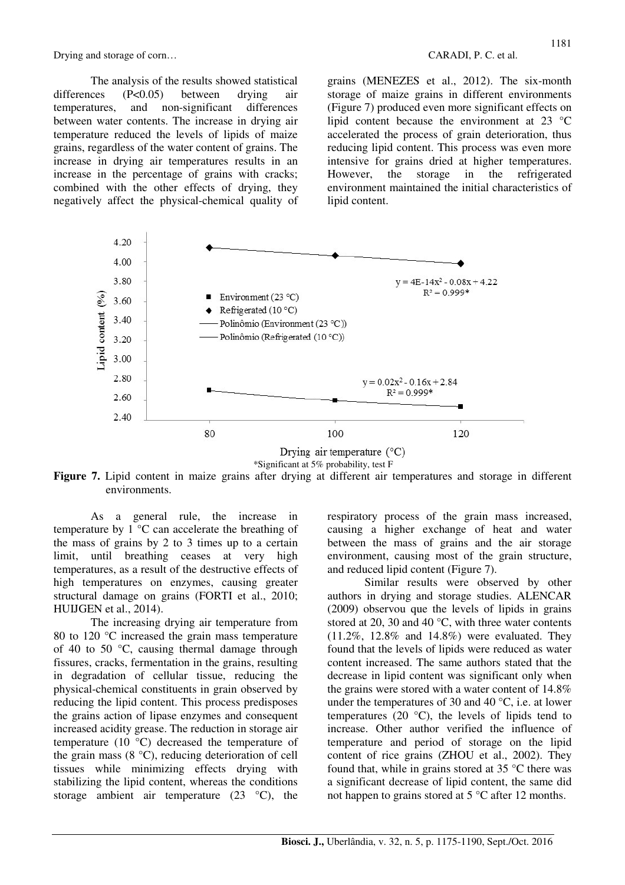The analysis of the results showed statistical differences (P<0.05) between drying air temperatures, and non-significant differences between water contents. The increase in drying air temperature reduced the levels of lipids of maize grains, regardless of the water content of grains. The increase in drying air temperatures results in an increase in the percentage of grains with cracks; combined with the other effects of drying, they negatively affect the physical-chemical quality of grains (MENEZES et al., 2012). The six-month storage of maize grains in different environments (Figure 7) produced even more significant effects on lipid content because the environment at 23 °C accelerated the process of grain deterioration, thus reducing lipid content. This process was even more intensive for grains dried at higher temperatures. However, the storage in the refrigerated environment maintained the initial characteristics of lipid content.



**Figure 7.** Lipid content in maize grains after drying at different air temperatures and storage in different environments.

As a general rule, the increase in temperature by 1 °C can accelerate the breathing of the mass of grains by 2 to 3 times up to a certain limit, until breathing ceases at very high temperatures, as a result of the destructive effects of high temperatures on enzymes, causing greater structural damage on grains (FORTI et al., 2010; HUIJGEN et al., 2014).

The increasing drying air temperature from 80 to 120 °C increased the grain mass temperature of 40 to 50 °C, causing thermal damage through fissures, cracks, fermentation in the grains, resulting in degradation of cellular tissue, reducing the physical-chemical constituents in grain observed by reducing the lipid content. This process predisposes the grains action of lipase enzymes and consequent increased acidity grease. The reduction in storage air temperature (10 °C) decreased the temperature of the grain mass  $(8 \degree C)$ , reducing deterioration of cell tissues while minimizing effects drying with stabilizing the lipid content, whereas the conditions storage ambient air temperature  $(23 \degree C)$ , the

respiratory process of the grain mass increased, causing a higher exchange of heat and water between the mass of grains and the air storage environment, causing most of the grain structure, and reduced lipid content (Figure 7).

Similar results were observed by other authors in drying and storage studies. ALENCAR (2009) observou que the levels of lipids in grains stored at 20, 30 and 40 °C, with three water contents (11.2%, 12.8% and 14.8%) were evaluated. They found that the levels of lipids were reduced as water content increased. The same authors stated that the decrease in lipid content was significant only when the grains were stored with a water content of 14.8% under the temperatures of 30 and 40 °C, i.e. at lower temperatures (20 $\degree$ C), the levels of lipids tend to increase. Other author verified the influence of temperature and period of storage on the lipid content of rice grains (ZHOU et al., 2002). They found that, while in grains stored at 35 °C there was a significant decrease of lipid content, the same did not happen to grains stored at 5 °C after 12 months.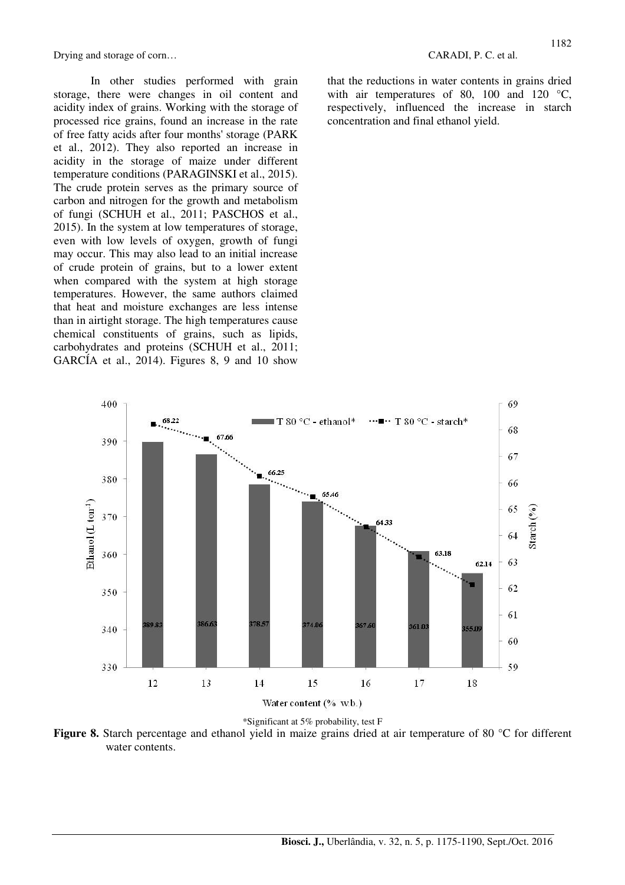In other studies performed with grain storage, there were changes in oil content and acidity index of grains. Working with the storage of processed rice grains, found an increase in the rate of free fatty acids after four months' storage (PARK et al., 2012). They also reported an increase in acidity in the storage of maize under different temperature conditions (PARAGINSKI et al., 2015). The crude protein serves as the primary source of carbon and nitrogen for the growth and metabolism of fungi (SCHUH et al., 2011; PASCHOS et al., 2015). In the system at low temperatures of storage, even with low levels of oxygen, growth of fungi may occur. This may also lead to an initial increase of crude protein of grains, but to a lower extent when compared with the system at high storage temperatures. However, the same authors claimed that heat and moisture exchanges are less intense than in airtight storage. The high temperatures cause chemical constituents of grains, such as lipids, carbohydrates and proteins (SCHUH et al., 2011; GARCÍA et al., 2014). Figures 8, 9 and 10 show

that the reductions in water contents in grains dried with air temperatures of 80, 100 and 120 °C, respectively, influenced the increase in starch concentration and final ethanol yield.



**Figure 8.** Starch percentage and ethanol yield in maize grains dried at air temperature of 80 °C for different water contents.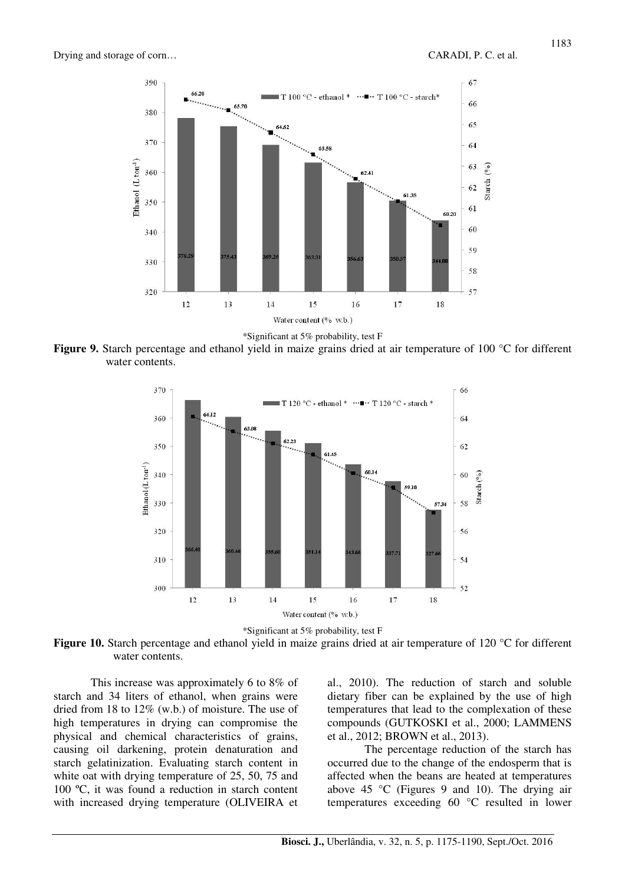



Figure 9. Starch percentage and ethanol yield in maize grains dried at air temperature of 100 °C for different water contents.





**Figure 10.** Starch percentage and ethanol yield in maize grains dried at air temperature of 120 °C for different water contents.

This increase was approximately 6 to 8% of starch and 34 liters of ethanol, when grains were dried from 18 to 12% (w.b.) of moisture. The use of high temperatures in drying can compromise the physical and chemical characteristics of grains, causing oil darkening, protein denaturation and starch gelatinization. Evaluating starch content in white oat with drying temperature of 25, 50, 75 and 100 ºC, it was found a reduction in starch content with increased drying temperature (OLIVEIRA et

al., 2010). The reduction of starch and soluble dietary fiber can be explained by the use of high temperatures that lead to the complexation of these compounds (GUTKOSKI et al., 2000; LAMMENS et al., 2012; BROWN et al., 2013).

The percentage reduction of the starch has occurred due to the change of the endosperm that is affected when the beans are heated at temperatures above 45 °C (Figures 9 and 10). The drying air temperatures exceeding 60 °C resulted in lower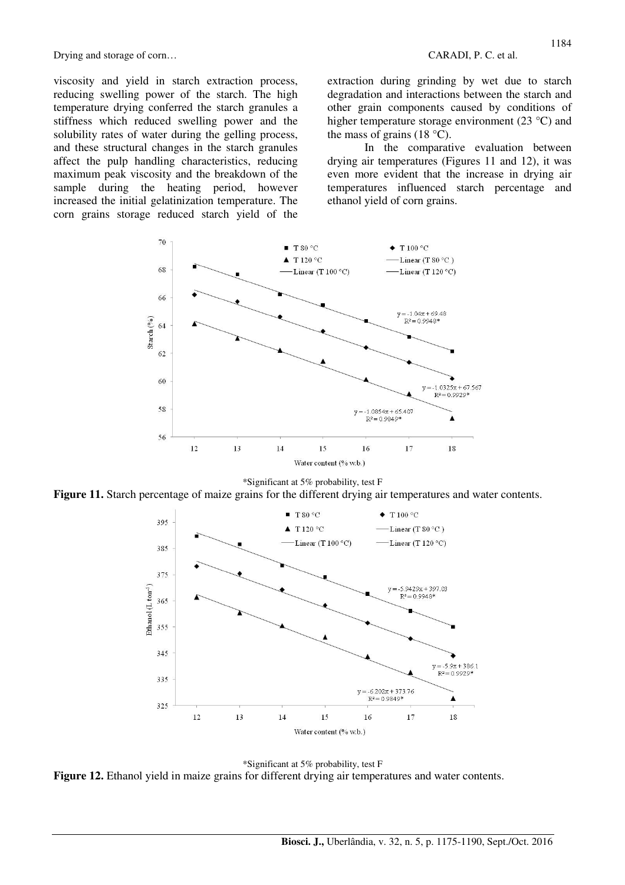viscosity and yield in starch extraction process, reducing swelling power of the starch. The high temperature drying conferred the starch granules a stiffness which reduced swelling power and the solubility rates of water during the gelling process, and these structural changes in the starch granules affect the pulp handling characteristics, reducing maximum peak viscosity and the breakdown of the sample during the heating period, however increased the initial gelatinization temperature. The corn grains storage reduced starch yield of the

extraction during grinding by wet due to starch degradation and interactions between the starch and other grain components caused by conditions of higher temperature storage environment (23 °C) and the mass of grains  $(18 \degree C)$ .

In the comparative evaluation between drying air temperatures (Figures 11 and 12), it was even more evident that the increase in drying air temperatures influenced starch percentage and ethanol yield of corn grains.



### \*Significant at 5% probability, test F

**Figure 11.** Starch percentage of maize grains for the different drying air temperatures and water contents.



\*Significant at 5% probability, test F **Figure 12.** Ethanol yield in maize grains for different drying air temperatures and water contents.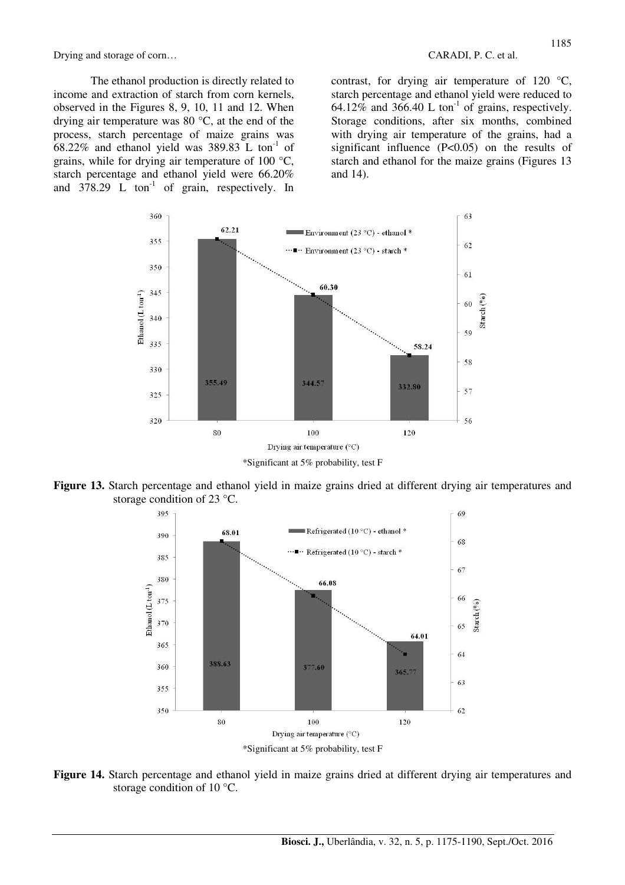The ethanol production is directly related to income and extraction of starch from corn kernels, observed in the Figures 8, 9, 10, 11 and 12. When drying air temperature was 80 °C, at the end of the process, starch percentage of maize grains was  $68.22\%$  and ethanol yield was 389.83 L ton<sup>-1</sup> of grains, while for drying air temperature of 100 °C, starch percentage and ethanol yield were 66.20% and  $378.29$  L ton<sup>-1</sup> of grain, respectively. In

contrast, for drying air temperature of 120 °C, starch percentage and ethanol yield were reduced to 64.12% and 366.40 L ton<sup>-1</sup> of grains, respectively. Storage conditions, after six months, combined with drying air temperature of the grains, had a significant influence (P<0.05) on the results of starch and ethanol for the maize grains (Figures 13 and 14).



**Figure 13.** Starch percentage and ethanol yield in maize grains dried at different drying air temperatures and storage condition of 23 °C.



**Figure 14.** Starch percentage and ethanol yield in maize grains dried at different drying air temperatures and storage condition of 10 °C.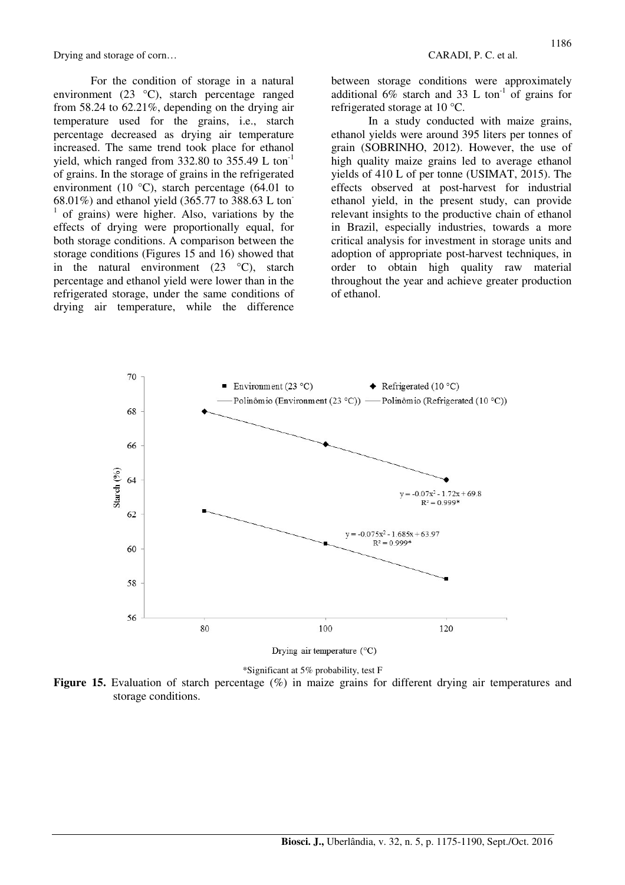For the condition of storage in a natural environment (23 °C), starch percentage ranged from 58.24 to 62.21%, depending on the drying air temperature used for the grains, i.e., starch percentage decreased as drying air temperature increased. The same trend took place for ethanol yield, which ranged from  $332.80$  to  $355.49$  L ton<sup>-1</sup> of grains. In the storage of grains in the refrigerated environment (10 $\degree$ C), starch percentage (64.01 to 68.01%) and ethanol yield (365.77 to 388.63 L ton-1 of grains) were higher. Also, variations by the effects of drying were proportionally equal, for both storage conditions. A comparison between the storage conditions (Figures 15 and 16) showed that in the natural environment  $(23 \degree C)$ , starch percentage and ethanol yield were lower than in the refrigerated storage, under the same conditions of drying air temperature, while the difference between storage conditions were approximately additional 6% starch and 33 L ton<sup>-1</sup> of grains for refrigerated storage at 10 °C.

In a study conducted with maize grains, ethanol yields were around 395 liters per tonnes of grain (SOBRINHO, 2012). However, the use of high quality maize grains led to average ethanol yields of 410 L of per tonne (USIMAT, 2015). The effects observed at post-harvest for industrial ethanol yield, in the present study, can provide relevant insights to the productive chain of ethanol in Brazil, especially industries, towards a more critical analysis for investment in storage units and adoption of appropriate post-harvest techniques, in order to obtain high quality raw material throughout the year and achieve greater production of ethanol.



\*Significant at 5% probability, test F

Figure 15. Evaluation of starch percentage (%) in maize grains for different drying air temperatures and storage conditions.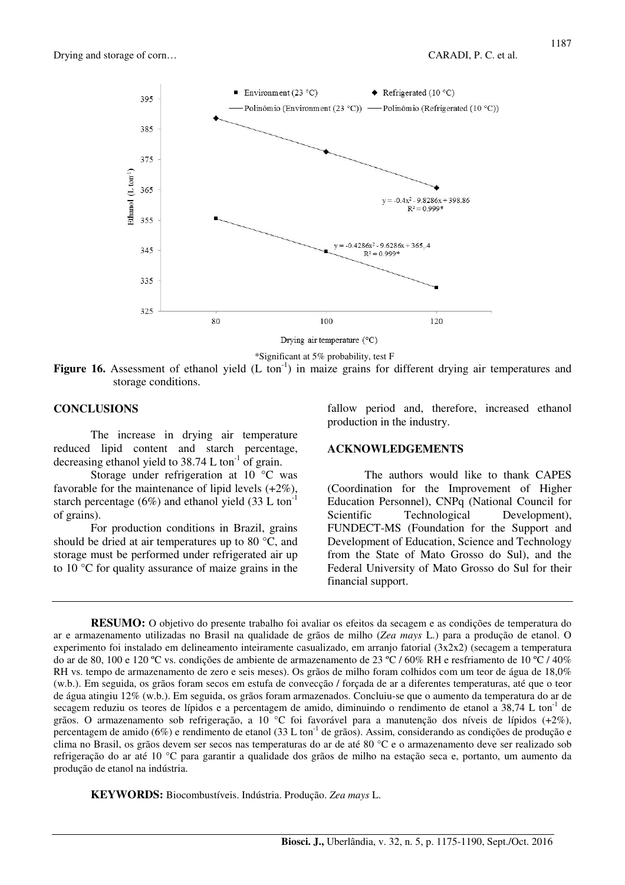



Drying air temperature (°C)

\*Significant at 5% probability, test F

**Figure 16.** Assessment of ethanol yield (L ton<sup>-1</sup>) in maize grains for different drying air temperatures and storage conditions.

## **CONCLUSIONS**

The increase in drying air temperature reduced lipid content and starch percentage, decreasing ethanol yield to  $38.74$  L ton<sup>-1</sup> of grain.

Storage under refrigeration at 10 °C was favorable for the maintenance of lipid levels (+2%), starch percentage (6%) and ethanol yield (33 L ton<sup>-1</sup> of grains).

For production conditions in Brazil, grains should be dried at air temperatures up to 80 °C, and storage must be performed under refrigerated air up to 10 °C for quality assurance of maize grains in the

fallow period and, therefore, increased ethanol production in the industry.

## **ACKNOWLEDGEMENTS**

The authors would like to thank CAPES (Coordination for the Improvement of Higher Education Personnel), CNPq (National Council for Scientific Technological Development), FUNDECT-MS (Foundation for the Support and Development of Education, Science and Technology from the State of Mato Grosso do Sul), and the Federal University of Mato Grosso do Sul for their financial support.

**RESUMO:** O objetivo do presente trabalho foi avaliar os efeitos da secagem e as condições de temperatura do ar e armazenamento utilizadas no Brasil na qualidade de grãos de milho (*Zea mays* L.) para a produção de etanol. O experimento foi instalado em delineamento inteiramente casualizado, em arranjo fatorial (3x2x2) (secagem a temperatura do ar de 80, 100 e 120 ºC vs. condições de ambiente de armazenamento de 23 ºC / 60% RH e resfriamento de 10 ºC / 40% RH vs. tempo de armazenamento de zero e seis meses). Os grãos de milho foram colhidos com um teor de água de 18,0% (w.b.). Em seguida, os grãos foram secos em estufa de convecção / forçada de ar a diferentes temperaturas, até que o teor de água atingiu 12% (w.b.). Em seguida, os grãos foram armazenados. Concluiu-se que o aumento da temperatura do ar de secagem reduziu os teores de lípidos e a percentagem de amido, diminuindo o rendimento de etanol a  $38,74$  L ton<sup>-1</sup> de grãos. O armazenamento sob refrigeração, a 10 °C foi favorável para a manutenção dos níveis de lípidos (+2%), percentagem de amido (6%) e rendimento de etanol (33 L ton<sup>-1</sup> de grãos). Assim, considerando as condições de produção e clima no Brasil, os grãos devem ser secos nas temperaturas do ar de até 80 °C e o armazenamento deve ser realizado sob refrigeração do ar até 10 °C para garantir a qualidade dos grãos de milho na estação seca e, portanto, um aumento da produção de etanol na indústria.

**KEYWORDS:** Biocombustíveis. Indústria. Produção. *Zea mays* L.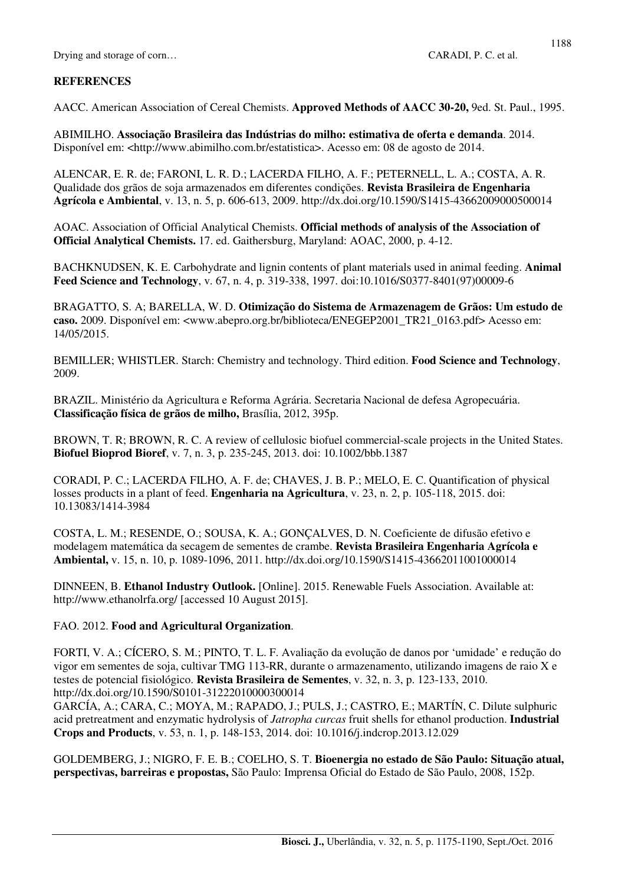# **REFERENCES**

AACC. American Association of Cereal Chemists. **Approved Methods of AACC 30-20,** 9ed. St. Paul., 1995.

ABIMILHO. **Associação Brasileira das Indústrias do milho: estimativa de oferta e demanda**. 2014. Disponível em: <http://www.abimilho.com.br/estatistica>. Acesso em: 08 de agosto de 2014.

ALENCAR, E. R. de; FARONI, L. R. D.; LACERDA FILHO, A. F.; PETERNELL, L. A.; COSTA, A. R. Qualidade dos grãos de soja armazenados em diferentes condições. **Revista Brasileira de Engenharia Agrícola e Ambiental**, v. 13, n. 5, p. 606-613, 2009. http://dx.doi.org/10.1590/S1415-43662009000500014

AOAC. Association of Official Analytical Chemists. **Official methods of analysis of the Association of Official Analytical Chemists.** 17. ed. Gaithersburg, Maryland: AOAC, 2000, p. 4-12.

BACHKNUDSEN, K. E. Carbohydrate and lignin contents of plant materials used in animal feeding. **Animal Feed Science and Technology**, v. 67, n. 4, p. 319-338, 1997. doi:10.1016/S0377-8401(97)00009-6

BRAGATTO, S. A; BARELLA, W. D. **Otimização do Sistema de Armazenagem de Grãos: Um estudo de caso.** 2009. Disponível em: <www.abepro.org.br/biblioteca/ENEGEP2001\_TR21\_0163.pdf> Acesso em: 14/05/2015.

BEMILLER; WHISTLER. Starch: Chemistry and technology. Third edition. **Food Science and Technology**, 2009.

BRAZIL. Ministério da Agricultura e Reforma Agrária. Secretaria Nacional de defesa Agropecuária. **Classificação física de grãos de milho,** Brasília, 2012, 395p.

BROWN, T. R; BROWN, R. C. A review of cellulosic biofuel commercial-scale projects in the United States. **Biofuel Bioprod Bioref**, v. 7, n. 3, p. 235-245, 2013. doi: 10.1002/bbb.1387

CORADI, P. C.; LACERDA FILHO, A. F. de; CHAVES, J. B. P.; MELO, E. C. Quantification of physical losses products in a plant of feed. **Engenharia na Agricultura**, v. 23, n. 2, p. 105-118, 2015. doi: 10.13083/1414-3984

COSTA, L. M.; RESENDE, O.; SOUSA, K. A.; GONÇALVES, D. N. Coeficiente de difusão efetivo e modelagem matemática da secagem de sementes de crambe. **Revista Brasileira Engenharia Agrícola e Ambiental,** v. 15, n. 10, p. 1089-1096, 2011. http://dx.doi.org/10.1590/S1415-43662011001000014

DINNEEN, B. **Ethanol Industry Outlook.** [Online]. 2015. Renewable Fuels Association. Available at: http://www.ethanolrfa.org/ [accessed 10 August 2015].

# FAO. 2012. **Food and Agricultural Organization**.

FORTI, V. A.; CÍCERO, S. M.; PINTO, T. L. F. Avaliação da evolução de danos por 'umidade' e redução do vigor em sementes de soja, cultivar TMG 113-RR, durante o armazenamento, utilizando imagens de raio X e testes de potencial fisiológico. **Revista Brasileira de Sementes**, v. 32, n. 3, p. 123-133, 2010. http://dx.doi.org/10.1590/S0101-31222010000300014

GARCÍA, A.; CARA, C.; MOYA, M.; RAPADO, J.; PULS, J.; CASTRO, E.; MARTÍN, C. Dilute sulphuric acid pretreatment and enzymatic hydrolysis of *Jatropha curcas* fruit shells for ethanol production. **Industrial Crops and Products**, v. 53, n. 1, p. 148-153, 2014. doi: 10.1016/j.indcrop.2013.12.029

GOLDEMBERG, J.; NIGRO, F. E. B.; COELHO, S. T. **Bioenergia no estado de São Paulo: Situação atual, perspectivas, barreiras e propostas,** São Paulo: Imprensa Oficial do Estado de São Paulo, 2008, 152p.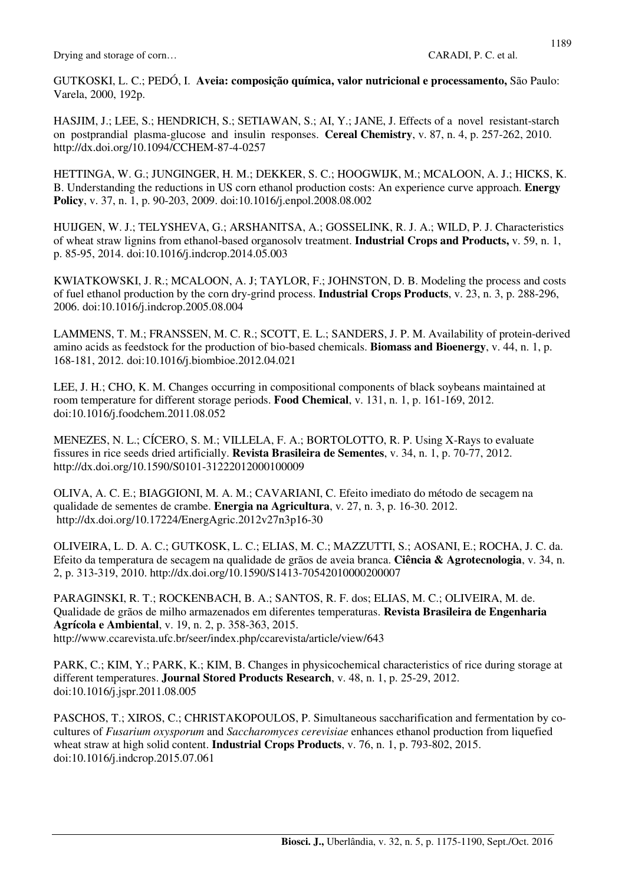GUTKOSKI, L. C.; PEDÓ, I. **Aveia: composição química, valor nutricional e processamento,** São Paulo: Varela, 2000, 192p.

HASJIM, J.; LEE, S.; HENDRICH, S.; SETIAWAN, S.; AI, Y.; JANE, J. Effects of a novel resistant-starch on postprandial plasma-glucose and insulin responses. **Cereal Chemistry**, v. 87, n. 4, p. 257-262, 2010. http://dx.doi.org/10.1094/CCHEM-87-4-0257

HETTINGA, W. G.; JUNGINGER, H. M.; DEKKER, S. C.; HOOGWIJK, M.; MCALOON, A. J.; HICKS, K. B. Understanding the reductions in US corn ethanol production costs: An experience curve approach. **Energy Policy**, v. 37, n. 1, p. 90-203, 2009. doi:10.1016/j.enpol.2008.08.002

HUIJGEN, W. J.; TELYSHEVA, G.; ARSHANITSA, A.; GOSSELINK, R. J. A.; WILD, P. J. Characteristics of wheat straw lignins from ethanol-based organosolv treatment. **Industrial Crops and Products,** v. 59, n. 1, p. 85-95, 2014. doi:10.1016/j.indcrop.2014.05.003

KWIATKOWSKI, J. R.; MCALOON, A. J; TAYLOR, F.; JOHNSTON, D. B. Modeling the process and costs of fuel ethanol production by the corn dry-grind process. **Industrial Crops Products**, v. 23, n. 3, p. 288-296, 2006. doi:10.1016/j.indcrop.2005.08.004

LAMMENS, T. M.; FRANSSEN, M. C. R.; SCOTT, E. L.; SANDERS, J. P. M. Availability of protein-derived amino acids as feedstock for the production of bio-based chemicals. **Biomass and Bioenergy**, v. 44, n. 1, p. 168-181, 2012. doi:10.1016/j.biombioe.2012.04.021

LEE, J. H.; CHO, K. M. Changes occurring in compositional components of black soybeans maintained at room temperature for different storage periods. **Food Chemical**, v. 131, n. 1, p. 161-169, 2012. doi:10.1016/j.foodchem.2011.08.052

MENEZES, N. L.; CÍCERO, S. M.; VILLELA, F. A.; BORTOLOTTO, R. P. Using X-Rays to evaluate fissures in rice seeds dried artificially. **Revista Brasileira de Sementes**, v. 34, n. 1, p. 70-77, 2012. http://dx.doi.org/10.1590/S0101-31222012000100009

OLIVA, A. C. E.; BIAGGIONI, M. A. M.; CAVARIANI, C. Efeito imediato do método de secagem na qualidade de sementes de crambe. **Energia na Agricultura**, v. 27, n. 3, p. 16-30. 2012. http://dx.doi.org/10.17224/EnergAgric.2012v27n3p16-30

OLIVEIRA, L. D. A. C.; GUTKOSK, L. C.; ELIAS, M. C.; MAZZUTTI, S.; AOSANI, E.; ROCHA, J. C. da. Efeito da temperatura de secagem na qualidade de grãos de aveia branca. **Ciência & Agrotecnologia**, v. 34, n. 2, p. 313-319, 2010. http://dx.doi.org/10.1590/S1413-70542010000200007

PARAGINSKI, R. T.; ROCKENBACH, B. A.; SANTOS, R. F. dos; ELIAS, M. C.; OLIVEIRA, M. de. Qualidade de grãos de milho armazenados em diferentes temperaturas. **Revista Brasileira de Engenharia Agrícola e Ambiental**, v. 19, n. 2, p. 358-363, 2015. http://www.ccarevista.ufc.br/seer/index.php/ccarevista/article/view/643

PARK, C.; KIM, Y.; PARK, K.; KIM, B. Changes in physicochemical characteristics of rice during storage at different temperatures. **Journal Stored Products Research**, v. 48, n. 1, p. 25-29, 2012. doi:10.1016/j.jspr.2011.08.005

PASCHOS, T.; XIROS, C.; CHRISTAKOPOULOS, P. Simultaneous saccharification and fermentation by cocultures of *Fusarium oxysporum* and *Saccharomyces cerevisiae* enhances ethanol production from liquefied wheat straw at high solid content. **Industrial Crops Products**, v. 76, n. 1, p. 793-802, 2015. doi:10.1016/j.indcrop.2015.07.061